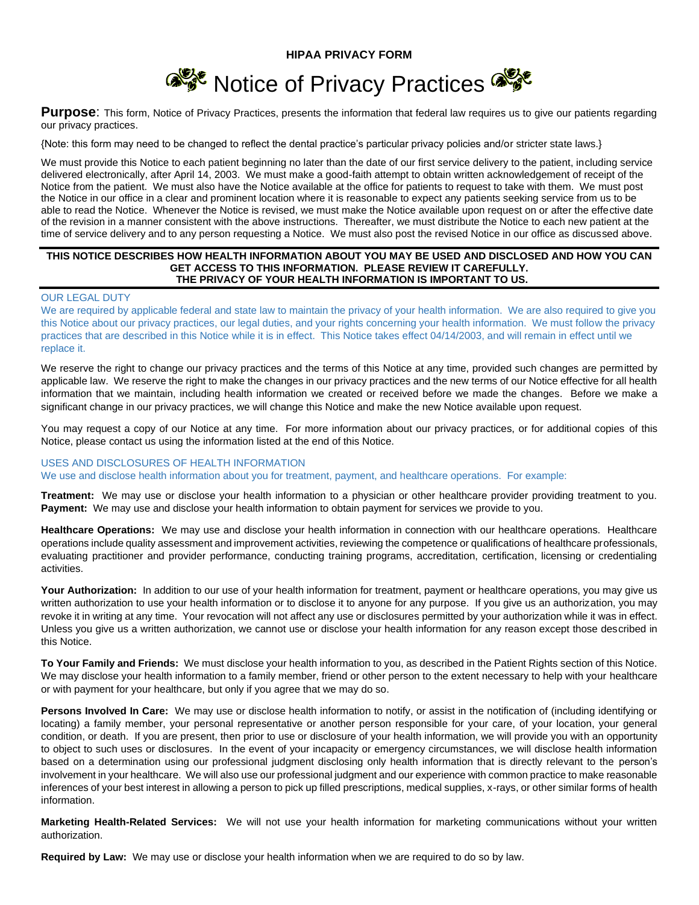

Purpose: This form, Notice of Privacy Practices, presents the information that federal law requires us to give our patients regarding our privacy practices.

{Note: this form may need to be changed to reflect the dental practice's particular privacy policies and/or stricter state laws.}

We must provide this Notice to each patient beginning no later than the date of our first service delivery to the patient, including service delivered electronically, after April 14, 2003. We must make a good-faith attempt to obtain written acknowledgement of receipt of the Notice from the patient. We must also have the Notice available at the office for patients to request to take with them. We must post the Notice in our office in a clear and prominent location where it is reasonable to expect any patients seeking service from us to be able to read the Notice. Whenever the Notice is revised, we must make the Notice available upon request on or after the effective date of the revision in a manner consistent with the above instructions. Thereafter, we must distribute the Notice to each new patient at the time of service delivery and to any person requesting a Notice. We must also post the revised Notice in our office as discussed above.

### **THIS NOTICE DESCRIBES HOW HEALTH INFORMATION ABOUT YOU MAY BE USED AND DISCLOSED AND HOW YOU CAN GET ACCESS TO THIS INFORMATION. PLEASE REVIEW IT CAREFULLY. THE PRIVACY OF YOUR HEALTH INFORMATION IS IMPORTANT TO US.**

## OUR LEGAL DUTY

We are required by applicable federal and state law to maintain the privacy of your health information. We are also required to give you this Notice about our privacy practices, our legal duties, and your rights concerning your health information. We must follow the privacy practices that are described in this Notice while it is in effect. This Notice takes effect 04/14/2003, and will remain in effect until we replace it.

We reserve the right to change our privacy practices and the terms of this Notice at any time, provided such changes are permitted by applicable law. We reserve the right to make the changes in our privacy practices and the new terms of our Notice effective for all health information that we maintain, including health information we created or received before we made the changes. Before we make a significant change in our privacy practices, we will change this Notice and make the new Notice available upon request.

You may request a copy of our Notice at any time. For more information about our privacy practices, or for additional copies of this Notice, please contact us using the information listed at the end of this Notice.

#### USES AND DISCLOSURES OF HEALTH INFORMATION

We use and disclose health information about you for treatment, payment, and healthcare operations. For example:

**Treatment:** We may use or disclose your health information to a physician or other healthcare provider providing treatment to you. **Payment:** We may use and disclose your health information to obtain payment for services we provide to you.

**Healthcare Operations:** We may use and disclose your health information in connection with our healthcare operations. Healthcare operations include quality assessment and improvement activities, reviewing the competence or qualifications of healthcare professionals, evaluating practitioner and provider performance, conducting training programs, accreditation, certification, licensing or credentialing activities.

Your Authorization: In addition to our use of your health information for treatment, payment or healthcare operations, you may give us written authorization to use your health information or to disclose it to anyone for any purpose. If you give us an authorization, you may revoke it in writing at any time. Your revocation will not affect any use or disclosures permitted by your authorization while it was in effect. Unless you give us a written authorization, we cannot use or disclose your health information for any reason except those described in this Notice.

**To Your Family and Friends:** We must disclose your health information to you, as described in the Patient Rights section of this Notice. We may disclose your health information to a family member, friend or other person to the extent necessary to help with your healthcare or with payment for your healthcare, but only if you agree that we may do so.

**Persons Involved In Care:** We may use or disclose health information to notify, or assist in the notification of (including identifying or locating) a family member, your personal representative or another person responsible for your care, of your location, your general condition, or death. If you are present, then prior to use or disclosure of your health information, we will provide you with an opportunity to object to such uses or disclosures. In the event of your incapacity or emergency circumstances, we will disclose health information based on a determination using our professional judgment disclosing only health information that is directly relevant to the person's involvement in your healthcare. We will also use our professional judgment and our experience with common practice to make reasonable inferences of your best interest in allowing a person to pick up filled prescriptions, medical supplies, x-rays, or other similar forms of health information.

**Marketing Health-Related Services:** We will not use your health information for marketing communications without your written authorization.

**Required by Law:** We may use or disclose your health information when we are required to do so by law.